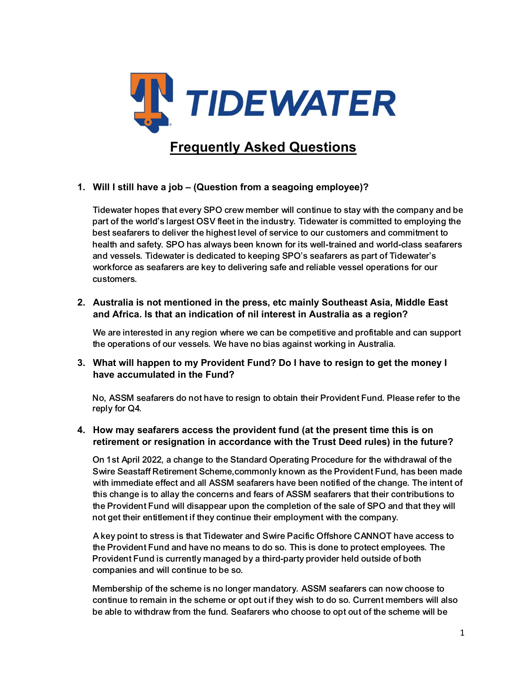

# **1. Will I still have a job – (Question from a seagoing employee)?**

Tidewater hopes that every SPO crew member will continue to stay with the company and be part of the world's largest OSV fleet in the industry. Tidewater is committed to employing the best seafarers to deliver the highest level of service to our customers and commitment to health and safety. SPO has always been known for its well-trained and world-class seafarers and vessels. Tidewater is dedicated to keeping SPO's seafarers as part of Tidewater's workforce as seafarers are key to delivering safe and reliable vessel operations for our customers.

**2. Australia is not mentioned in the press, etc mainly Southeast Asia, Middle East and Africa. Is that an indication of nil interest in Australia as a region?** 

We are interested in any region where we can be competitive and profitable and can support the operations of our vessels. We have no bias against working in Australia.

**3. What will happen to my Provident Fund? Do I have to resign to get the money I have accumulated in the Fund?** 

No, ASSM seafarers do not have to resign to obtain their Provident Fund. Please refer to the reply for Q4.

### **4. How may seafarers access the provident fund (at the present time this is on retirement or resignation in accordance with the Trust Deed rules) in the future?**

On 1st April 2022, a change to the Standard Operating Procedure for the withdrawal of the Swire Seastaff Retirement Scheme,commonly known as the Provident Fund, has been made with immediate effect and all ASSM seafarers have been notified of the change. The intent of this change is to allay the concerns and fears of ASSM seafarers that their contributions to the Provident Fund will disappear upon the completion of the sale of SPO and that they will not get their entitlement if they continue their employment with the company.

A key point to stress is that Tidewater and Swire Pacific Offshore CANNOT have access to the Provident Fund and have no means to do so. This is done to protect employees. The Provident Fund is currently managed by a third-party provider held outside of both companies and will continue to be so.

Membership of the scheme is no longer mandatory. ASSM seafarers can now choose to continue to remain in the scheme or opt out if they wish to do so. Current members will also be able to withdraw from the fund. Seafarers who choose to opt out of the scheme will be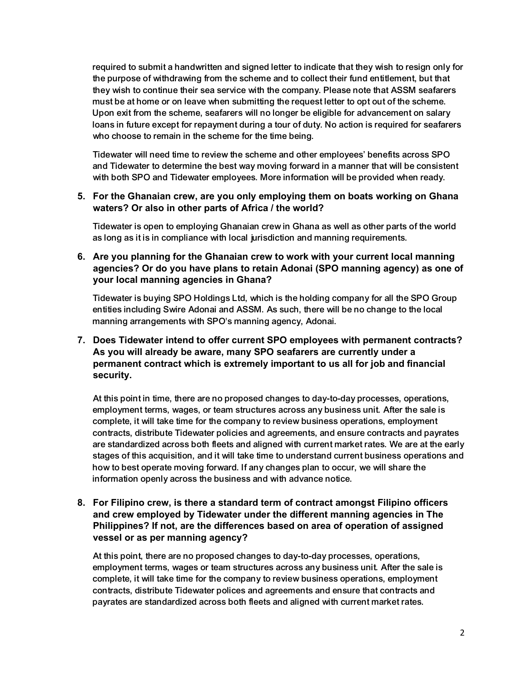required to submit a handwritten and signed letter to indicate that they wish to resign only for the purpose of withdrawing from the scheme and to collect their fund entitlement, but that they wish to continue their sea service with the company. Please note that ASSM seafarers must be at home or on leave when submitting the request letter to opt out of the scheme. Upon exit from the scheme, seafarers will no longer be eligible for advancement on salary loans in future except for repayment during a tour of duty. No action is required for seafarers who choose to remain in the scheme for the time being.

Tidewater will need time to review the scheme and other employees' benefits across SPO and Tidewater to determine the best way moving forward in a manner that will be consistent with both SPO and Tidewater employees. More information will be provided when ready.

### **5. For the Ghanaian crew, are you only employing them on boats working on Ghana waters? Or also in other parts of Africa / the world?**

Tidewater is open to employing Ghanaian crew in Ghana as well as other parts of the world as long as it is in compliance with local jurisdiction and manning requirements.

## **6. Are you planning for the Ghanaian crew to work with your current local manning agencies? Or do you have plans to retain Adonai (SPO manning agency) as one of your local manning agencies in Ghana?**

Tidewater is buying SPO Holdings Ltd, which is the holding company for all the SPO Group entities including Swire Adonai and ASSM. As such, there will be no change to the local manning arrangements with SPO's manning agency, Adonai.

# **7. Does Tidewater intend to offer current SPO employees with permanent contracts? As you will already be aware, many SPO seafarers are currently under a permanent contract which is extremely important to us all for job and financial security.**

At this point in time, there are no proposed changes to day-to-day processes, operations, employment terms, wages, or team structures across any business unit. After the sale is complete, it will take time for the company to review business operations, employment contracts, distribute Tidewater policies and agreements, and ensure contracts and payrates are standardized across both fleets and aligned with current market rates. We are at the early stages of this acquisition, and it will take time to understand current business operations and how to best operate moving forward. If any changes plan to occur, we will share the information openly across the business and with advance notice.

# **8. For Filipino crew, is there a standard term of contract amongst Filipino officers and crew employed by Tidewater under the different manning agencies in The Philippines? If not, are the differences based on area of operation of assigned vessel or as per manning agency?**

At this point, there are no proposed changes to day-to-day processes, operations, employment terms, wages or team structures across any business unit. After the sale is complete, it will take time for the company to review business operations, employment contracts, distribute Tidewater polices and agreements and ensure that contracts and payrates are standardized across both fleets and aligned with current market rates.